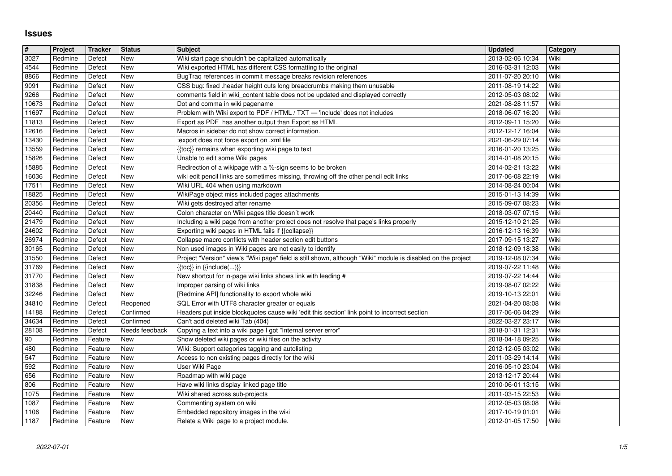## **Issues**

| $\vert$ #<br>3027 | Project            | <b>Tracker</b>     | <b>Status</b>            | <b>Subject</b>                                                                                                                                           | <b>Updated</b><br>2013-02-06 10:34   | Category<br>Wiki |
|-------------------|--------------------|--------------------|--------------------------|----------------------------------------------------------------------------------------------------------------------------------------------------------|--------------------------------------|------------------|
| 4544              | Redmine<br>Redmine | Defect<br>Defect   | New<br>New               | Wiki start page shouldn't be capitalized automatically<br>Wiki exported HTML has different CSS formatting to the original                                | 2016-03-31 12:03                     | Wiki             |
| 8866<br>9091      | Redmine<br>Redmine | Defect<br>Defect   | New<br>New               | BugTraq references in commit message breaks revision references<br>CSS bug: fixed .header height cuts long breadcrumbs making them unusable              | 2011-07-20 20:10<br>2011-08-19 14:22 | Wiki<br>Wiki     |
| 9266              | Redmine            | Defect             | New                      | comments field in wiki_content table does not be updated and displayed correctly                                                                         | 2012-05-03 08:02                     | Wiki             |
| 10673<br>11697    | Redmine<br>Redmine | Defect<br>Defect   | New<br>New               | Dot and comma in wiki pagename<br>Problem with Wiki export to PDF / HTML / TXT - 'include' does not includes                                             | 2021-08-28 11:57<br>2018-06-07 16:20 | Wiki<br>Wiki     |
| 11813             | Redmine            | Defect             | New                      | Export as PDF has another output than Export as HTML                                                                                                     | 2012-09-11 15:20                     | Wiki             |
| 12616<br>13430    | Redmine<br>Redmine | Defect<br>Defect   | New<br>New               | Macros in sidebar do not show correct information.<br>:export does not force export on .xml file                                                         | 2012-12-17 16:04<br>2021-06-29 07:14 | Wiki<br>Wiki     |
| 13559             | Redmine            | Defect             | New                      | {{toc}} remains when exporting wiki page to text                                                                                                         | 2016-01-20 13:25                     | Wiki             |
| 15826<br>15885    | Redmine<br>Redmine | Defect<br>Defect   | New<br>New               | Unable to edit some Wiki pages<br>Redirection of a wikipage with a %-sign seems to be broken                                                             | 2014-01-08 20:15<br>2014-02-21 13:22 | Wiki<br>Wiki     |
| 16036             | Redmine            | Defect             | New                      | wiki edit pencil links are sometimes missing, throwing off the other pencil edit links                                                                   | 2017-06-08 22:19                     | Wiki             |
| 17511<br>18825    | Redmine<br>Redmine | Defect<br>Defect   | New<br>New               | Wiki URL 404 when using markdown<br>WikiPage object miss included pages attachments                                                                      | 2014-08-24 00:04<br>2015-01-13 14:39 | Wiki<br>Wiki     |
| 20356             | Redmine            | Defect             | New                      | Wiki gets destroyed after rename                                                                                                                         | 2015-09-07 08:23                     | Wiki             |
| 20440<br>21479    | Redmine<br>Redmine | Defect<br>Defect   | <b>New</b><br>New        | Colon character on Wiki pages title doesn't work<br>Including a wiki page from another project does not resolve that page's links properly               | 2018-03-07 07:15<br>2015-12-10 21:25 | Wiki<br>Wiki     |
| 24602<br>26974    | Redmine            | Defect             | New                      | Exporting wiki pages in HTML fails if {{collapse}}<br>Collapse macro conflicts with header section edit buttons                                          | 2016-12-13 16:39<br>2017-09-15 13:27 | Wiki<br>Wiki     |
| 30165             | Redmine<br>Redmine | Defect<br>Defect   | New<br>New               | Non used images in Wiki pages are not easily to identify                                                                                                 | 2018-12-09 18:38                     | Wiki             |
| 31550<br>31769    | Redmine<br>Redmine | Defect<br>Defect   | New<br>New               | Project "Version" view's "Wiki page" field is still shown, although "Wiki" module is disabled on the project<br>$\{\{toc\}\}\$ in $\{\{include(C, )\}\}$ | 2019-12-08 07:34<br>2019-07-22 11:48 | Wiki<br>Wiki     |
| 31770             | Redmine            | Defect             | New                      | New shortcut for in-page wiki links shows link with leading #                                                                                            | 2019-07-22 14:44                     | Wiki             |
| 31838<br>32246    | Redmine<br>Redmine | Defect<br>Defect   | New<br>New               | Improper parsing of wiki links<br>[Redmine API] functionality to export whole wiki                                                                       | 2019-08-07 02:22<br>2019-10-13 22:01 | Wiki<br>Wiki     |
| 34810             | Redmine            | Defect             | Reopened                 | SQL Error with UTF8 character greater or equals                                                                                                          | 2021-04-20 08:08                     | Wiki             |
| 14188<br>34634    | Redmine<br>Redmine | Defect<br>Defect   | Confirmed<br>Confirmed   | Headers put inside blockquotes cause wiki 'edit this section' link point to incorrect section<br>Can't add deleted wiki Tab (404)                        | 2017-06-06 04:29<br>2022-03-27 23:17 | Wiki<br>Wiki     |
| 28108             | Redmine            | Defect             | Needs feedback           | Copying a text into a wiki page I got "Internal server error"                                                                                            | 2018-01-31 12:31                     | Wiki             |
| 90<br>480         | Redmine<br>Redmine | Feature<br>Feature | New<br>New               | Show deleted wiki pages or wiki files on the activity<br>Wiki: Support categories tagging and autolisting                                                | 2018-04-18 09:25<br>2012-12-05 03:02 | Wiki<br>Wiki     |
| 547               | Redmine            | Feature            | New                      | Access to non existing pages directly for the wiki                                                                                                       | 2011-03-29 14:14                     | Wiki             |
| 592<br>656        | Redmine<br>Redmine | Feature<br>Feature | New<br><b>New</b>        | User Wiki Page<br>Roadmap with wiki page                                                                                                                 | 2016-05-10 23:04<br>2013-12-17 20:44 | Wiki<br>Wiki     |
| 806               | Redmine            | Feature            | New                      | Have wiki links display linked page title                                                                                                                | 2010-06-01 13:15                     | Wiki             |
| 1075<br>1087      | Redmine<br>Redmine | Feature<br>Feature | <b>New</b><br><b>New</b> | Wiki shared across sub-projects<br>Commenting system on wiki                                                                                             | 2011-03-15 22:53<br>2012-05-03 08:08 | Wiki<br>Wiki     |
| 1106<br>1187      | Redmine<br>Redmine | Feature<br>Feature | New<br>New               | Embedded repository images in the wiki<br>Relate a Wiki page to a project module.                                                                        | 2017-10-19 01:01<br>2012-01-05 17:50 | Wiki<br>Wiki     |
|                   |                    |                    |                          |                                                                                                                                                          |                                      |                  |
|                   |                    |                    |                          |                                                                                                                                                          |                                      |                  |
|                   |                    |                    |                          |                                                                                                                                                          |                                      |                  |
|                   |                    |                    |                          |                                                                                                                                                          |                                      |                  |
|                   |                    |                    |                          |                                                                                                                                                          |                                      |                  |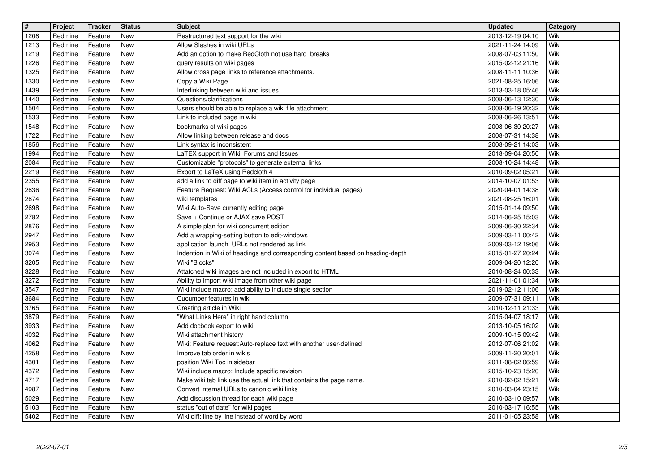| $\sqrt{t}$   | Project            | <b>Tracker</b>     | <b>Status</b>            | <b>Subject</b>                                                                                                       | <b>Updated</b>                       | Category     |
|--------------|--------------------|--------------------|--------------------------|----------------------------------------------------------------------------------------------------------------------|--------------------------------------|--------------|
| 1208         | Redmine            | Feature            | New                      | Restructured text support for the wiki                                                                               | 2013-12-19 04:10                     | Wiki         |
| 1213<br>1219 | Redmine<br>Redmine | Feature<br>Feature | <b>New</b><br><b>New</b> | Allow Slashes in wiki URLs<br>Add an option to make RedCloth not use hard_breaks                                     | 2021-11-24 14:09<br>2008-07-03 11:50 | Wiki<br>Wiki |
| 1226         | Redmine            | Feature            | New                      | query results on wiki pages                                                                                          | 2015-02-12 21:16                     | Wiki         |
| 1325         | Redmine            | Feature            | New                      | Allow cross page links to reference attachments.                                                                     | 2008-11-11 10:36                     | Wiki         |
| 1330         | Redmine            | Feature            | <b>New</b>               | Copy a Wiki Page                                                                                                     | 2021-08-25 16:06                     | Wiki         |
| 1439<br>1440 | Redmine<br>Redmine | Feature<br>Feature | <b>New</b><br>New        | Interlinking between wiki and issues<br>Questions/clarifications                                                     | 2013-03-18 05:46<br>2008-06-13 12:30 | Wiki<br>Wiki |
| 1504         | Redmine            | Feature            | <b>New</b>               | Users should be able to replace a wiki file attachment                                                               | 2008-06-19 20:32                     | Wiki         |
| 1533         | Redmine            | Feature            | New                      | Link to included page in wiki                                                                                        | 2008-06-26 13:51                     | Wiki         |
| 1548<br>1722 | Redmine<br>Redmine | Feature<br>Feature | <b>New</b><br><b>New</b> | bookmarks of wiki pages                                                                                              | 2008-06-30 20:27<br>2008-07-31 14:38 | Wiki<br>Wiki |
| 1856         | Redmine            | Feature            | New                      | Allow linking between release and docs<br>Link syntax is inconsistent                                                | 2008-09-21 14:03                     | Wiki         |
| 1994         | Redmine            | Feature            | <b>New</b>               | LaTEX support in Wiki, Forums and Issues                                                                             | 2018-09-04 20:50                     | Wiki         |
| 2084         | Redmine            | Feature            | <b>New</b>               | Customizable "protocols" to generate external links                                                                  | 2008-10-24 14:48                     | Wiki         |
| 2219<br>2355 | Redmine<br>Redmine | Feature<br>Feature | <b>New</b><br>New        | Export to LaTeX using Redcloth 4<br>add a link to diff page to wiki item in activity page                            | 2010-09-02 05:21<br>2014-10-07 01:53 | Wiki<br>Wiki |
| 2636         | Redmine            | Feature            | New                      | Feature Request: Wiki ACLs (Access control for individual pages)                                                     | 2020-04-01 14:38                     | Wiki         |
| 2674         | Redmine            | Feature            | New                      | wiki templates                                                                                                       | 2021-08-25 16:01                     | Wiki         |
| 2698<br>2782 | Redmine<br>Redmine | Feature<br>Feature | New<br><b>New</b>        | Wiki Auto-Save currently editing page<br>Save + Continue or AJAX save POST                                           | 2015-01-14 09:50<br>2014-06-25 15:03 | Wiki<br>Wiki |
| 2876         | Redmine            | Feature            | New                      | A simple plan for wiki concurrent edition                                                                            | 2009-06-30 22:34                     | Wiki         |
| 2947         | Redmine            | Feature            | <b>New</b>               | Add a wrapping-setting button to edit-windows                                                                        | 2009-03-11 00:42                     | Wiki         |
| 2953         | Redmine            | Feature            | <b>New</b>               | application launch URLs not rendered as link                                                                         | 2009-03-12 19:06                     | Wiki         |
| 3074<br>3205 | Redmine<br>Redmine | Feature<br>Feature | New<br>New               | Indention in Wiki of headings and corresponding content based on heading-depth<br>Wiki "Blocks"                      | 2015-01-27 20:24<br>2009-04-20 12:20 | Wiki<br>Wiki |
| 3228         | Redmine            | Feature            | New                      | Attatched wiki images are not included in export to HTML                                                             | 2010-08-24 00:33                     | Wiki         |
| 3272         | Redmine            | Feature            | New                      | Ability to import wiki image from other wiki page                                                                    | 2021-11-01 01:34                     | Wiki         |
| 3547<br>3684 | Redmine<br>Redmine | Feature<br>Feature | New<br><b>New</b>        | Wiki include macro: add ability to include single section<br>Cucumber features in wiki                               | 2019-02-12 11:06<br>2009-07-31 09:11 | Wiki<br>Wiki |
| 3765         | Redmine            | Feature            | New                      | Creating article in Wiki                                                                                             | 2010-12-11 21:33                     | Wiki         |
| 3879         | Redmine            | Feature            | New                      | "What Links Here" in right hand column                                                                               | 2015-04-07 18:17                     | Wiki         |
| 3933         | Redmine            | Feature            | New                      | Add docbook export to wiki                                                                                           | 2013-10-05 16:02                     | Wiki         |
| 4032<br>4062 | Redmine<br>Redmine | Feature<br>Feature | New<br>New               | Wiki attachment history<br>Wiki: Feature request:Auto-replace text with another user-defined                         | 2009-10-15 09:42<br>2012-07-06 21:02 | Wiki<br>Wiki |
| 4258         | Redmine            | Feature            | New                      | Improve tab order in wikis                                                                                           | 2009-11-20 20:01                     | Wiki         |
| 4301         | Redmine            | Feature            | New                      | position Wiki Toc in sidebar                                                                                         | 2011-08-02 06:59                     | Wiki         |
| 4372<br>4717 | Redmine<br>Redmine | Feature<br>Feature | New<br>New               | Wiki include macro: Include specific revision<br>Make wiki tab link use the actual link that contains the page name. | 2015-10-23 15:20<br>2010-02-02 15:21 | Wiki<br>Wiki |
| 4987         | Redmine            | Feature            | New                      | Convert internal URLs to canonic wiki links                                                                          | 2010-03-04 23:15                     | Wiki         |
| 5029         | Redmine            | Feature            | New                      | Add discussion thread for each wiki page                                                                             | 2010-03-10 09:57                     | Wiki         |
| 5103<br>5402 | Redmine<br>Redmine | Feature<br>Feature | New<br>New               | status "out of date" for wiki pages<br>Wiki diff: line by line instead of word by word                               | 2010-03-17 16:55<br>2011-01-05 23:58 | Wiki<br>Wiki |
|              |                    |                    |                          |                                                                                                                      |                                      |              |
|              |                    |                    |                          |                                                                                                                      |                                      |              |
|              |                    |                    |                          |                                                                                                                      |                                      |              |
|              |                    |                    |                          |                                                                                                                      |                                      |              |
|              |                    |                    |                          |                                                                                                                      |                                      |              |
|              |                    |                    |                          |                                                                                                                      |                                      |              |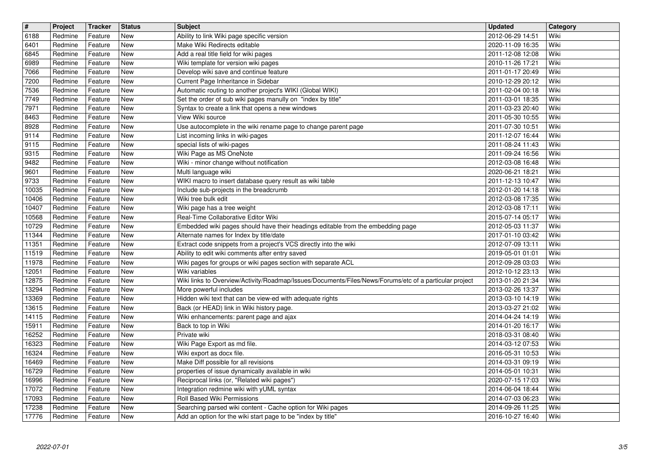| $\overline{\mathbf{H}}$<br>6188 | Project<br>Redmine | Tracker<br>Feature | <b>Status</b><br>New | <b>Subject</b><br>Ability to link Wiki page specific version                                                 | <b>Updated</b><br>2012-06-29 14:51   | Category<br>Wiki |
|---------------------------------|--------------------|--------------------|----------------------|--------------------------------------------------------------------------------------------------------------|--------------------------------------|------------------|
| 6401                            | Redmine            | Feature            | New                  | Make Wiki Redirects editable                                                                                 | 2020-11-09 16:35                     | Wiki             |
| 6845<br>6989                    | Redmine<br>Redmine | Feature<br>Feature | New<br>New           | Add a real title field for wiki pages<br>Wiki template for version wiki pages                                | 2011-12-08 12:08<br>2010-11-26 17:21 | Wiki<br>Wiki     |
| 7066                            | Redmine            | Feature            | New                  | Develop wiki save and continue feature                                                                       | 2011-01-17 20:49                     | Wiki             |
| 7200<br>7536                    | Redmine<br>Redmine | Feature<br>Feature | New<br>New           | Current Page Inheritance in Sidebar<br>Automatic routing to another project's WIKI (Global WIKI)             | 2010-12-29 20:12<br>2011-02-04 00:18 | Wiki<br>Wiki     |
| 7749                            | Redmine            | Feature            | New                  | Set the order of sub wiki pages manully on "index by title"                                                  | 2011-03-01 18:35                     | Wiki             |
| 7971<br>8463                    | Redmine<br>Redmine | Feature<br>Feature | New<br>New           | Syntax to create a link that opens a new windows<br>View Wiki source                                         | 2011-03-23 20:40<br>2011-05-30 10:55 | Wiki<br>Wiki     |
| 8928                            | Redmine            | Feature            | New                  | Use autocomplete in the wiki rename page to change parent page                                               | 2011-07-30 10:51                     | Wiki             |
| 9114<br>9115                    | Redmine<br>Redmine | Feature<br>Feature | New<br>New           | List incoming links in wiki-pages<br>special lists of wiki-pages                                             | 2011-12-07 16:44<br>2011-08-24 11:43 | Wiki<br>Wiki     |
| 9315<br>9482                    | Redmine<br>Redmine | Feature<br>Feature | New<br>New           | Wiki Page as MS OneNote<br>Wiki - minor change without notification                                          | 2011-09-24 16:56<br>2012-03-08 16:48 | Wiki<br>Wiki     |
| 9601                            | Redmine            | Feature            | New                  | Multi language wiki                                                                                          | 2020-06-21 18:21                     | Wiki             |
| 9733<br>10035                   | Redmine<br>Redmine | Feature<br>Feature | New<br>New           | WIKI macro to insert database query result as wiki table<br>Include sub-projects in the breadcrumb           | 2011-12-13 10:47<br>2012-01-20 14:18 | Wiki<br>Wiki     |
| 10406                           | Redmine            | Feature            | New                  | Wiki tree bulk edit                                                                                          | 2012-03-08 17:35                     | Wiki             |
| 10407<br>10568                  | Redmine<br>Redmine | Feature<br>Feature | New<br>New           | Wiki page has a tree weight<br>Real-Time Collaborative Editor Wiki                                           | 2012-03-08 17:11<br>2015-07-14 05:17 | Wiki<br>Wiki     |
| 10729                           | Redmine            | Feature            | New                  | Embedded wiki pages should have their headings editable from the embedding page                              | 2012-05-03 11:37                     | Wiki             |
| 11344<br>11351                  | Redmine<br>Redmine | Feature<br>Feature | New<br>New           | Alternate names for Index by title/date<br>Extract code snippets from a project's VCS directly into the wiki | 2017-01-10 03:42<br>2012-07-09 13:11 | Wiki<br>Wiki     |
| 11519                           | Redmine            | Feature            | New                  | Ability to edit wiki comments after entry saved                                                              | 2019-05-01 01:01                     | Wiki             |
| 11978<br>12051                  | Redmine<br>Redmine | Feature<br>Feature | New<br>New           | Wiki pages for groups or wiki pages section with separate ACL<br>Wiki variables                              | 2012-09-28 03:03<br>2012-10-12 23:13 | Wiki<br>Wiki     |
| 12875                           | Redmine            | Feature            | New                  | Wiki links to Overview/Activity/Roadmap/Issues/Documents/Files/News/Forums/etc of a particular project       | 2013-01-20 21:34                     | Wiki             |
| 13294<br>13369                  | Redmine<br>Redmine | Feature<br>Feature | New<br><b>New</b>    | More powerful includes<br>Hidden wiki text that can be view-ed with adequate rights                          | 2013-02-26 13:37<br>2013-03-10 14:19 | Wiki<br>Wiki     |
| 13615<br>14115                  | Redmine<br>Redmine | Feature<br>Feature | New<br>New           | Back (or HEAD) link in Wiki history page.<br>Wiki enhancements: parent page and ajax                         | 2013-03-27 21:02<br>2014-04-24 14:19 | Wiki<br>Wiki     |
| 15911                           | Redmine            | Feature            | New                  | Back to top in Wiki                                                                                          | 2014-01-20 16:17                     | Wiki             |
| 16252<br>16323                  | Redmine<br>Redmine | Feature<br>Feature | New<br>New           | Private wiki<br>Wiki Page Export as md file.                                                                 | 2018-03-31 08:40<br>2014-03-12 07:53 | Wiki<br>Wiki     |
| 16324                           | Redmine            | Feature            | New                  | Wiki export as docx file.                                                                                    | 2016-05-31 10:53                     | Wiki             |
| 16469<br>16729                  | Redmine<br>Redmine | Feature<br>Feature | New<br>New           | Make Diff possible for all revisions<br>properties of issue dynamically available in wiki                    | 2014-03-31 09:19<br>2014-05-01 10:31 | Wiki<br>Wiki     |
| 16996                           | Redmine            | Feature            | <b>New</b>           | Reciprocal links (or, "Related wiki pages")                                                                  | 2020-07-15 17:03                     | Wiki             |
| 17072<br>17093                  | Redmine<br>Redmine | Feature<br>Feature | New<br>New           | Integration redmine wiki with yUML syntax<br>Roll Based Wiki Permissions                                     | 2014-06-04 18:44<br>2014-07-03 06:23 | Wiki<br>Wiki     |
| 17238                           | Redmine            | Feature            | New                  | Searching parsed wiki content - Cache option for Wiki pages                                                  | 2014-09-26 11:25                     | Wiki             |
| 17776                           | Redmine            | Feature            | New                  | Add an option for the wiki start page to be "index by title"                                                 | 2016-10-27 16:40                     | Wiki             |
|                                 |                    |                    |                      |                                                                                                              |                                      |                  |
|                                 |                    |                    |                      |                                                                                                              |                                      |                  |
|                                 |                    |                    |                      |                                                                                                              |                                      |                  |
|                                 |                    |                    |                      |                                                                                                              |                                      |                  |
|                                 |                    |                    |                      |                                                                                                              |                                      |                  |
|                                 |                    |                    |                      |                                                                                                              |                                      |                  |
|                                 |                    |                    |                      |                                                                                                              |                                      |                  |
|                                 |                    |                    |                      |                                                                                                              |                                      |                  |
|                                 |                    |                    |                      |                                                                                                              |                                      |                  |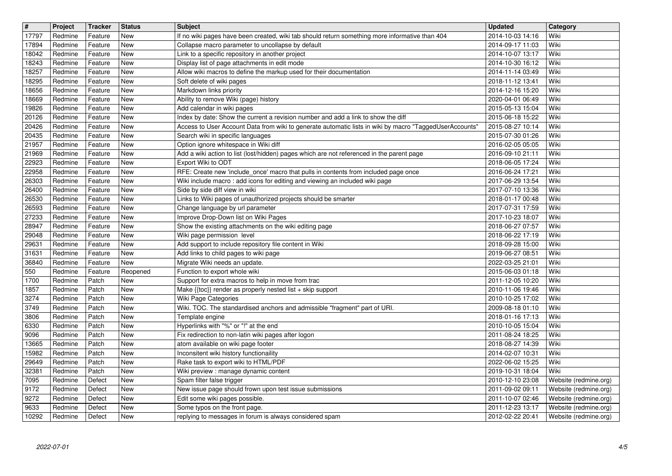| $\overline{\mathbf{H}}$<br>17797 | Project<br>Redmine | Tracker<br>Feature | <b>Status</b><br>New     | <b>Subject</b>                                                                                                                                                                               | <b>Updated</b><br>2014-10-03 14:16   | Category<br>Wiki                               |
|----------------------------------|--------------------|--------------------|--------------------------|----------------------------------------------------------------------------------------------------------------------------------------------------------------------------------------------|--------------------------------------|------------------------------------------------|
| 17894                            | Redmine            | Feature            | New                      | If no wiki pages have been created, wiki tab should return something more informative than 404<br>Collapse macro parameter to uncollapse by default                                          | 2014-09-17 11:03                     | Wiki                                           |
| 18042                            | Redmine            | Feature            | New                      | Link to a specific repository in another project                                                                                                                                             | 2014-10-07 13:17                     | Wiki                                           |
| 18243<br>18257                   | Redmine<br>Redmine | Feature<br>Feature | New<br>New               | Display list of page attachments in edit mode<br>Allow wiki macros to define the markup used for their documentation                                                                         | 2014-10-30 16:12<br>2014-11-14 03:49 | Wiki<br>Wiki                                   |
| 18295                            | Redmine            | Feature            | New                      | Soft delete of wiki pages                                                                                                                                                                    | 2018-11-12 13:41                     | Wiki                                           |
| 18656<br>18669                   | Redmine<br>Redmine | Feature<br>Feature | New<br>New               | Markdown links priority<br>Ability to remove Wiki (page) history                                                                                                                             | 2014-12-16 15:20<br>2020-04-01 06:49 | Wiki<br>Wiki                                   |
| 19826                            | Redmine            | Feature            | <b>New</b>               | Add calendar in wiki pages                                                                                                                                                                   | 2015-05-13 15:04                     | Wiki                                           |
| 20126<br>20426                   | Redmine<br>Redmine | Feature<br>Feature | New<br>New               | Index by date: Show the current a revision number and add a link to show the diff<br>Access to User Account Data from wiki to generate automatic lists in wiki by macro "TaggedUserAccounts' | 2015-06-18 15:22<br>2015-08-27 10:14 | Wiki<br>Wiki                                   |
| 20435                            | Redmine            | Feature            | New                      | Search wiki in specific languages                                                                                                                                                            | 2015-07-30 01:26                     | Wiki                                           |
| 21957<br>21969                   | Redmine<br>Redmine | Feature<br>Feature | New<br>New               | Option ignore whitespace in Wiki diff<br>Add a wiki action to list (lost/hidden) pages which are not referenced in the parent page                                                           | 2016-02-05 05:05<br>2016-09-10 21:11 | Wiki<br>Wiki                                   |
| 22923                            | Redmine            | Feature            | New                      | Export Wiki to ODT                                                                                                                                                                           | 2018-06-05 17:24                     | Wiki                                           |
| 22958<br>26303                   | Redmine<br>Redmine | Feature<br>Feature | New<br>New               | RFE: Create new 'include_once' macro that pulls in contents from included page once<br>Wiki include macro: add icons for editing and viewing an included wiki page                           | 2016-06-24 17:21<br>2017-06-29 13:54 | Wiki<br>Wiki                                   |
| 26400                            | Redmine            | Feature            | New                      | Side by side diff view in wiki                                                                                                                                                               | 2017-07-10 13:36                     | Wiki                                           |
| 26530<br>26593                   | Redmine<br>Redmine | Feature<br>Feature | New<br>New               | Links to Wiki pages of unauthorized projects should be smarter<br>Change language by url parameter                                                                                           | 2018-01-17 00:48<br>2017-07-31 17:59 | Wiki<br>Wiki                                   |
| 27233                            | Redmine            | Feature            | New                      | Improve Drop-Down list on Wiki Pages                                                                                                                                                         | 2017-10-23 18:07                     | Wiki                                           |
| 28947<br>29048                   | Redmine<br>Redmine | Feature<br>Feature | New<br>New               | Show the existing attachments on the wiki editing page<br>Wiki page permission level                                                                                                         | 2018-06-27 07:57<br>2018-06-22 17:19 | Wiki<br>Wiki                                   |
| 29631                            | Redmine            | Feature            | New                      | Add support to include repository file content in Wiki                                                                                                                                       | 2018-09-28 15:00                     | Wiki                                           |
| 31631<br>36840                   | Redmine<br>Redmine | Feature<br>Feature | New<br>New               | Add links to child pages to wiki page<br>Migrate Wiki needs an update.                                                                                                                       | 2019-06-27 08:51<br>2022-03-25 21:01 | Wiki<br>Wiki                                   |
| 550                              | Redmine            | Feature            | Reopened                 | Function to export whole wiki                                                                                                                                                                | 2015-06-03 01:18                     | Wiki                                           |
| 1700<br>1857                     | Redmine<br>Redmine | Patch<br>Patch     | New<br><b>New</b>        | Support for extra macros to help in move from trac<br>Make {{toc}} render as properly nested list + skip support                                                                             | 2011-12-05 10:20<br>2010-11-06 19:46 | Wiki<br>Wiki                                   |
| 3274                             | Redmine            | Patch              | <b>New</b>               | Wiki Page Categories                                                                                                                                                                         | 2010-10-25 17:02                     | Wiki                                           |
| 3749                             | Redmine            | Patch              | <b>New</b><br>New        | Wiki. TOC. The standardised anchors and admissible "fragment" part of URI.                                                                                                                   | 2009-08-18 01:10                     | Wiki<br>Wiki                                   |
| 3806<br>6330                     | Redmine<br>Redmine | Patch<br>Patch     | <b>New</b>               | Template engine<br>Hyperlinks with "%" or "!" at the end                                                                                                                                     | 2018-01-16 17:13<br>2010-10-05 15:04 | Wiki                                           |
| 9096                             | Redmine            | Patch              | New                      | Fix redirection to non-latin wiki pages after logon                                                                                                                                          | 2011-08-24 18:25                     | Wiki                                           |
| 13665<br>15982                   | Redmine<br>Redmine | Patch<br>Patch     | <b>New</b><br><b>New</b> | atom available on wiki page footer<br>Inconsitent wiki history functionaility                                                                                                                | 2018-08-27 14:39<br>2014-02-07 10:31 | Wiki<br>Wiki                                   |
| 29649                            | Redmine            | Patch              | New                      | Rake task to export wiki to HTML/PDF                                                                                                                                                         | 2022-06-02 15:25                     | Wiki                                           |
| 32381<br>7095                    | Redmine<br>Redmine | Patch<br>Defect    | New<br>New               | Wiki preview : manage dynamic content<br>Spam filter false trigger                                                                                                                           | 2019-10-31 18:04<br>2010-12-10 23:08 | Wiki<br>Website (redmine.org)                  |
| 9172                             | Redmine            | Defect             | <b>New</b>               | New issue page should frown upon test issue submissions                                                                                                                                      | 2011-09-02 09:11                     | Website (redmine.org)                          |
| 9272<br>9633                     | Redmine<br>Redmine | Defect<br>Defect   | New<br>New               | Edit some wiki pages possible.<br>Some typos on the front page.                                                                                                                              | 2011-10-07 02:46<br>2011-12-23 13:17 | Website (redmine.org)<br>Website (redmine.org) |
| 10292                            | Redmine            | Defect             | New                      | replying to messages in forum is always considered spam                                                                                                                                      | 2012-02-22 20:41                     | Website (redmine.org)                          |
|                                  |                    |                    |                          |                                                                                                                                                                                              |                                      |                                                |
|                                  |                    |                    |                          |                                                                                                                                                                                              |                                      |                                                |
|                                  |                    |                    |                          |                                                                                                                                                                                              |                                      |                                                |
|                                  |                    |                    |                          |                                                                                                                                                                                              |                                      |                                                |
|                                  |                    |                    |                          |                                                                                                                                                                                              |                                      |                                                |
|                                  |                    |                    |                          |                                                                                                                                                                                              |                                      |                                                |
|                                  |                    |                    |                          |                                                                                                                                                                                              |                                      |                                                |
|                                  |                    |                    |                          |                                                                                                                                                                                              |                                      |                                                |